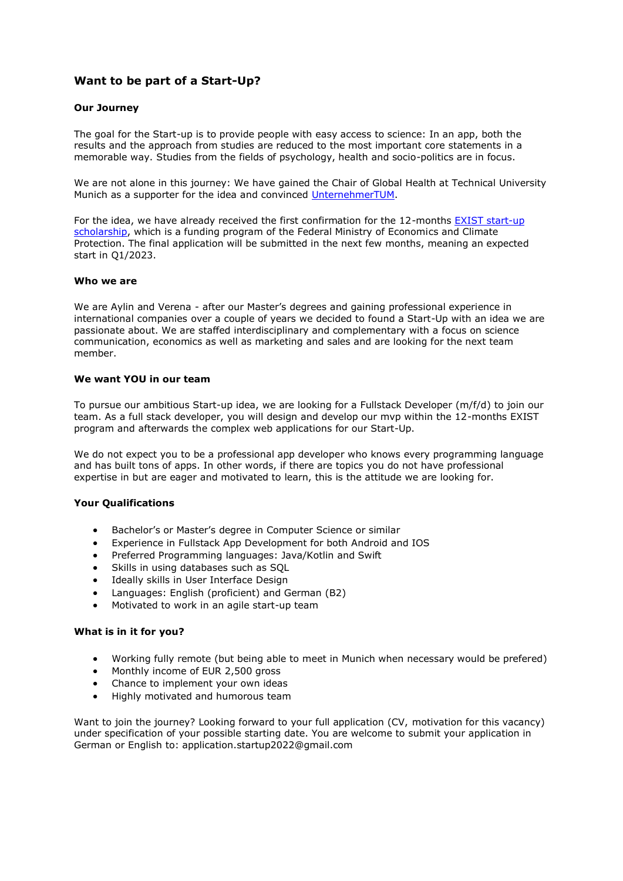# **Want to be part of a Start-Up?**

### **Our Journey**

The goal for the Start-up is to provide people with easy access to science: In an app, both the results and the approach from studies are reduced to the most important core statements in a memorable way. Studies from the fields of psychology, health and socio-politics are in focus.

We are not alone in this journey: We have gained the Chair of Global Health at Technical University Munich as a supporter for the idea and convinced [UnternehmerTUM.](https://deref-web.de/mail/client/000nG0su9-Y/dereferrer/?redirectUrl=https%3A%2F%2Fwww.unternehmertum.de%2Fen)

For the idea, we have already received the first confirmation for the 12-months **EXIST** start-up [scholarship,](https://deref-web.de/mail/client/2WeXo1ry2OI/dereferrer/?redirectUrl=https%3A%2F%2Fwww.exist.de%2FEXIST%2FNavigation%2FEN%2FHome%2Fhome.html) which is a funding program of the Federal Ministry of Economics and Climate Protection. The final application will be submitted in the next few months, meaning an expected start in Q1/2023.

#### **Who we are**

We are Aylin and Verena - after our Master's degrees and gaining professional experience in international companies over a couple of years we decided to found a Start-Up with an idea we are passionate about. We are staffed interdisciplinary and complementary with a focus on science communication, economics as well as marketing and sales and are looking for the next team member.

### **We want YOU in our team**

To pursue our ambitious Start-up idea, we are looking for a Fullstack Developer (m/f/d) to join our team. As a full stack developer, you will design and develop our mvp within the 12-months EXIST program and afterwards the complex web applications for our Start-Up.

We do not expect you to be a professional app developer who knows every programming language and has built tons of apps. In other words, if there are topics you do not have professional expertise in but are eager and motivated to learn, this is the attitude we are looking for.

### **Your Qualifications**

- Bachelor's or Master's degree in Computer Science or similar
- Experience in Fullstack App Development for both Android and IOS
- Preferred Programming languages: Java/Kotlin and Swift
- Skills in using databases such as SQL
- Ideally skills in User Interface Design
- Languages: English (proficient) and German (B2)
- Motivated to work in an agile start-up team

### **What is in it for you?**

- Working fully remote (but being able to meet in Munich when necessary would be prefered)
- Monthly income of EUR 2,500 gross
- Chance to implement your own ideas
- Highly motivated and humorous team

Want to join the journey? Looking forward to your full application (CV, motivation for this vacancy) under specification of your possible starting date. You are welcome to submit your application in German or English to: application.startup2022@gmail.com